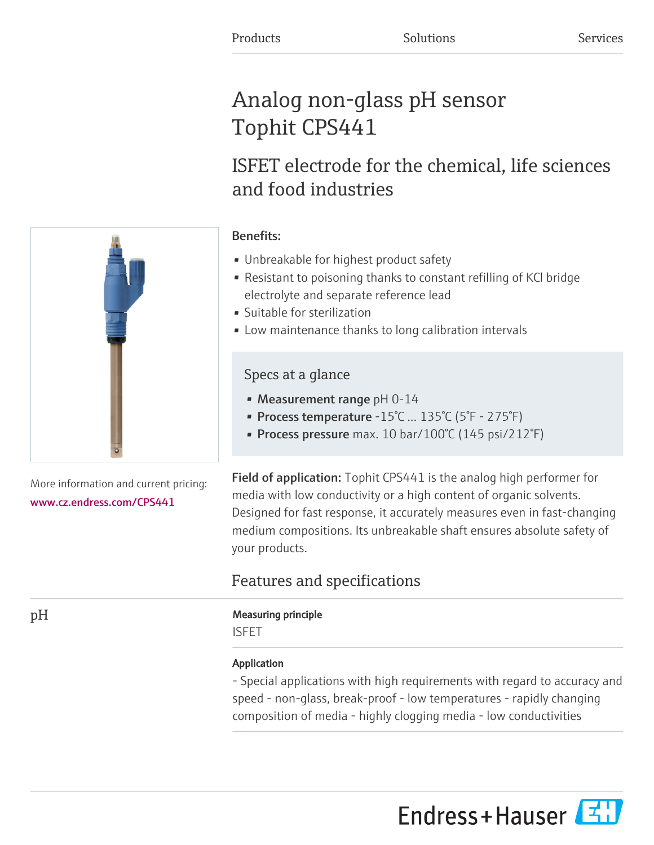# Analog non-glass pH sensor Tophit CPS441

## ISFET electrode for the chemical, life sciences and food industries

## Benefits:

- Unbreakable for highest product safety
- Resistant to poisoning thanks to constant refilling of KCl bridge electrolyte and separate reference lead
- Suitable for sterilization
- Low maintenance thanks to long calibration intervals

## Specs at a glance

- Measurement range pH 0-14
- Process temperature -15°C ... 135°C (5°F 275°F)
- Process pressure max. 10 bar/100°C (145 psi/212°F)

Field of application: Tophit CPS441 is the analog high performer for media with low conductivity or a high content of organic solvents. Designed for fast response, it accurately measures even in fast-changing medium compositions. Its unbreakable shaft ensures absolute safety of your products.

## Features and specifications

## pH Measuring principle

ISFET

## Application

- Special applications with high requirements with regard to accuracy and speed - non-glass, break-proof - low temperatures - rapidly changing composition of media - highly clogging media - low conductivities



More information and current pricing: [www.cz.endress.com/CPS441](https://www.cz.endress.com/CPS441)

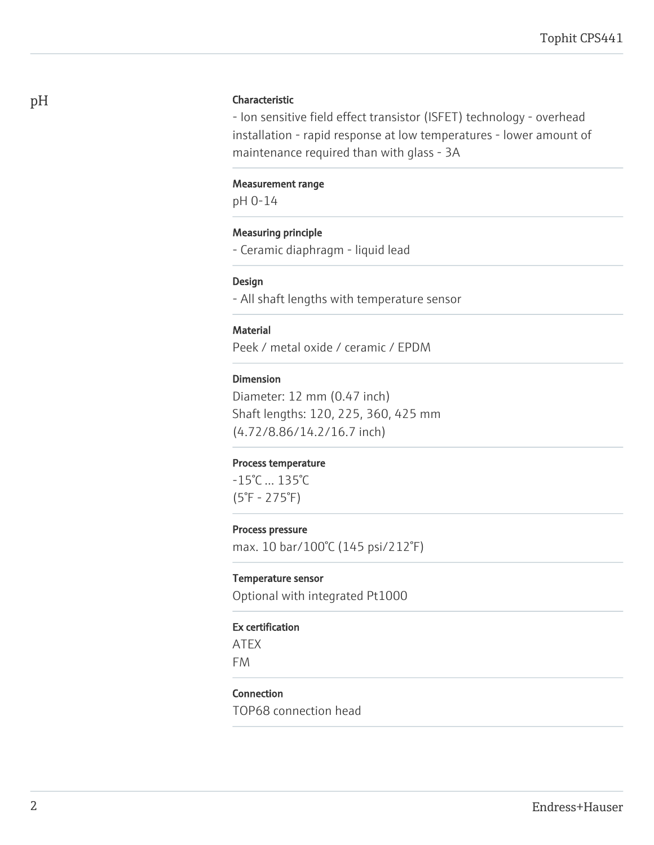#### pH Characteristic

- Ion sensitive field effect transistor (ISFET) technology - overhead installation - rapid response at low temperatures - lower amount of maintenance required than with glass - 3A

#### Measurement range

pH 0-14

#### Measuring principle

- Ceramic diaphragm - liquid lead

#### Design

- All shaft lengths with temperature sensor

#### **Material**

Peek / metal oxide / ceramic / EPDM

#### Dimension

Diameter: 12 mm (0.47 inch) Shaft lengths: 120, 225, 360, 425 mm (4.72/8.86/14.2/16.7 inch)

#### Process temperature

-15°C ... 135°C (5°F - 275°F)

#### Process pressure

max. 10 bar/100°C (145 psi/212°F)

#### Temperature sensor

Optional with integrated Pt1000

#### Ex certification

ATEX FM

#### Connection

TOP68 connection head